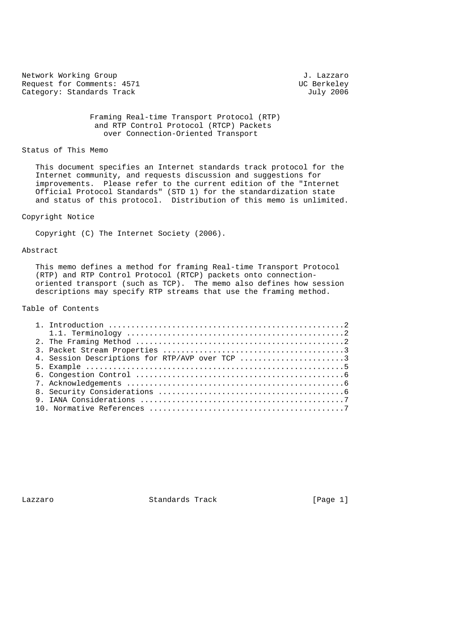Network Working Group<br>Request for Comments: 4571 J. Lazzaro Request for Comments: 4571 UC Berkeley<br>
Category: Standards Track UC Berkeley<br>
UC Berkeley Category: Standards Track

 Framing Real-time Transport Protocol (RTP) and RTP Control Protocol (RTCP) Packets over Connection-Oriented Transport

## Status of This Memo

 This document specifies an Internet standards track protocol for the Internet community, and requests discussion and suggestions for improvements. Please refer to the current edition of the "Internet Official Protocol Standards" (STD 1) for the standardization state and status of this protocol. Distribution of this memo is unlimited.

# Copyright Notice

Copyright (C) The Internet Society (2006).

#### Abstract

 This memo defines a method for framing Real-time Transport Protocol (RTP) and RTP Control Protocol (RTCP) packets onto connection oriented transport (such as TCP). The memo also defines how session descriptions may specify RTP streams that use the framing method.

# Table of Contents

|  | 4. Session Descriptions for RTP/AVP over TCP 3 |
|--|------------------------------------------------|

Lazzaro Standards Track [Page 1]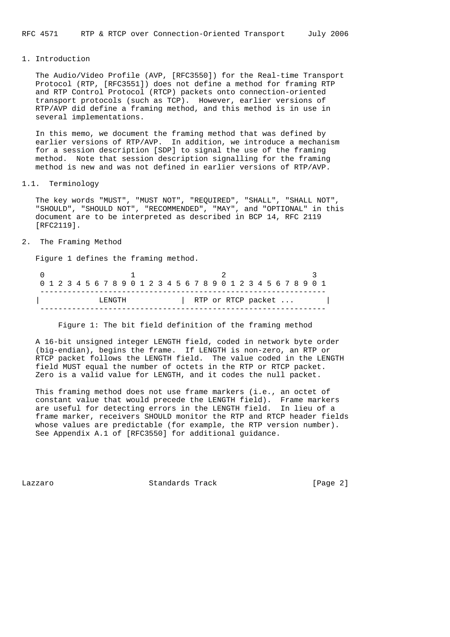#### 1. Introduction

 The Audio/Video Profile (AVP, [RFC3550]) for the Real-time Transport Protocol (RTP, [RFC3551]) does not define a method for framing RTP and RTP Control Protocol (RTCP) packets onto connection-oriented transport protocols (such as TCP). However, earlier versions of RTP/AVP did define a framing method, and this method is in use in several implementations.

 In this memo, we document the framing method that was defined by earlier versions of RTP/AVP. In addition, we introduce a mechanism for a session description [SDP] to signal the use of the framing method. Note that session description signalling for the framing method is new and was not defined in earlier versions of RTP/AVP.

### 1.1. Terminology

 The key words "MUST", "MUST NOT", "REQUIRED", "SHALL", "SHALL NOT", "SHOULD", "SHOULD NOT", "RECOMMENDED", "MAY", and "OPTIONAL" in this document are to be interpreted as described in BCP 14, RFC 2119 [RFC2119].

# 2. The Framing Method

Figure 1 defines the framing method.

|        |  |  |  |  |  |  |  |  |  |  |  |  |  |  |  |  |  |  |  |                    |  |  |  |  |  |  |  |  | 0 1 2 3 4 5 6 7 8 9 0 1 2 3 4 5 6 7 8 9 0 1 2 3 4 5 6 7 8 9 0 1 |  |
|--------|--|--|--|--|--|--|--|--|--|--|--|--|--|--|--|--|--|--|--|--------------------|--|--|--|--|--|--|--|--|-----------------------------------------------------------------|--|
| LENGTH |  |  |  |  |  |  |  |  |  |  |  |  |  |  |  |  |  |  |  | RTP or RTCP packet |  |  |  |  |  |  |  |  |                                                                 |  |
|        |  |  |  |  |  |  |  |  |  |  |  |  |  |  |  |  |  |  |  |                    |  |  |  |  |  |  |  |  |                                                                 |  |

Figure 1: The bit field definition of the framing method

 A 16-bit unsigned integer LENGTH field, coded in network byte order (big-endian), begins the frame. If LENGTH is non-zero, an RTP or RTCP packet follows the LENGTH field. The value coded in the LENGTH field MUST equal the number of octets in the RTP or RTCP packet. Zero is a valid value for LENGTH, and it codes the null packet.

 This framing method does not use frame markers (i.e., an octet of constant value that would precede the LENGTH field). Frame markers are useful for detecting errors in the LENGTH field. In lieu of a frame marker, receivers SHOULD monitor the RTP and RTCP header fields whose values are predictable (for example, the RTP version number). See Appendix A.1 of [RFC3550] for additional guidance.

Lazzaro Standards Track [Page 2]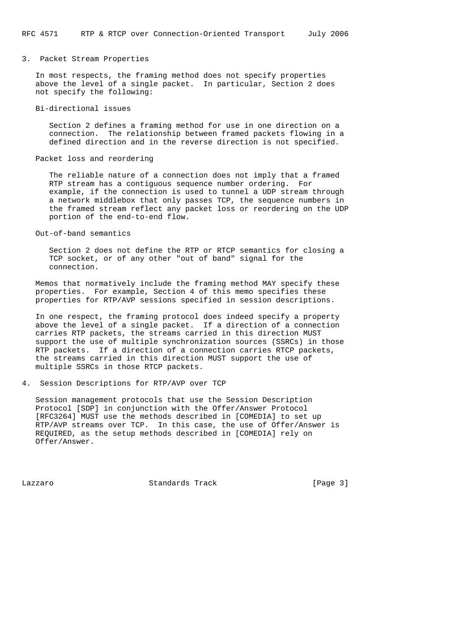3. Packet Stream Properties

 In most respects, the framing method does not specify properties above the level of a single packet. In particular, Section 2 does not specify the following:

Bi-directional issues

 Section 2 defines a framing method for use in one direction on a connection. The relationship between framed packets flowing in a defined direction and in the reverse direction is not specified.

Packet loss and reordering

 The reliable nature of a connection does not imply that a framed RTP stream has a contiguous sequence number ordering. For example, if the connection is used to tunnel a UDP stream through a network middlebox that only passes TCP, the sequence numbers in the framed stream reflect any packet loss or reordering on the UDP portion of the end-to-end flow.

Out-of-band semantics

 Section 2 does not define the RTP or RTCP semantics for closing a TCP socket, or of any other "out of band" signal for the connection.

 Memos that normatively include the framing method MAY specify these properties. For example, Section 4 of this memo specifies these properties for RTP/AVP sessions specified in session descriptions.

 In one respect, the framing protocol does indeed specify a property above the level of a single packet. If a direction of a connection carries RTP packets, the streams carried in this direction MUST support the use of multiple synchronization sources (SSRCs) in those RTP packets. If a direction of a connection carries RTCP packets, the streams carried in this direction MUST support the use of multiple SSRCs in those RTCP packets.

4. Session Descriptions for RTP/AVP over TCP

 Session management protocols that use the Session Description Protocol [SDP] in conjunction with the Offer/Answer Protocol [RFC3264] MUST use the methods described in [COMEDIA] to set up RTP/AVP streams over TCP. In this case, the use of Offer/Answer is REQUIRED, as the setup methods described in [COMEDIA] rely on Offer/Answer.

Lazzaro Standards Track [Page 3]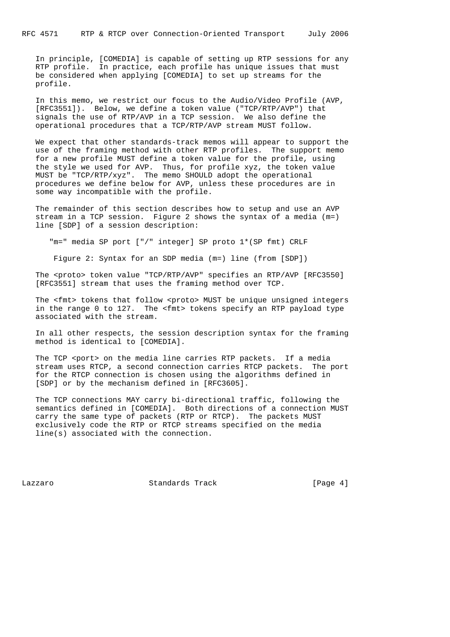In principle, [COMEDIA] is capable of setting up RTP sessions for any RTP profile. In practice, each profile has unique issues that must be considered when applying [COMEDIA] to set up streams for the profile.

 In this memo, we restrict our focus to the Audio/Video Profile (AVP, [RFC3551]). Below, we define a token value ("TCP/RTP/AVP") that signals the use of RTP/AVP in a TCP session. We also define the operational procedures that a TCP/RTP/AVP stream MUST follow.

 We expect that other standards-track memos will appear to support the use of the framing method with other RTP profiles. The support memo for a new profile MUST define a token value for the profile, using the style we used for AVP. Thus, for profile xyz, the token value MUST be "TCP/RTP/xyz". The memo SHOULD adopt the operational procedures we define below for AVP, unless these procedures are in some way incompatible with the profile.

 The remainder of this section describes how to setup and use an AVP stream in a TCP session. Figure 2 shows the syntax of a media (m=) line [SDP] of a session description:

"m=" media SP port ["/" integer] SP proto 1\*(SP fmt) CRLF

Figure 2: Syntax for an SDP media (m=) line (from [SDP])

 The <proto> token value "TCP/RTP/AVP" specifies an RTP/AVP [RFC3550] [RFC3551] stream that uses the framing method over TCP.

The <fmt> tokens that follow <proto> MUST be unique unsigned integers in the range 0 to 127. The <fmt> tokens specify an RTP payload type associated with the stream.

 In all other respects, the session description syntax for the framing method is identical to [COMEDIA].

The TCP <port> on the media line carries RTP packets. If a media stream uses RTCP, a second connection carries RTCP packets. The port for the RTCP connection is chosen using the algorithms defined in [SDP] or by the mechanism defined in [RFC3605].

 The TCP connections MAY carry bi-directional traffic, following the semantics defined in [COMEDIA]. Both directions of a connection MUST carry the same type of packets (RTP or RTCP). The packets MUST exclusively code the RTP or RTCP streams specified on the media line(s) associated with the connection.

Lazzaro Standards Track [Page 4]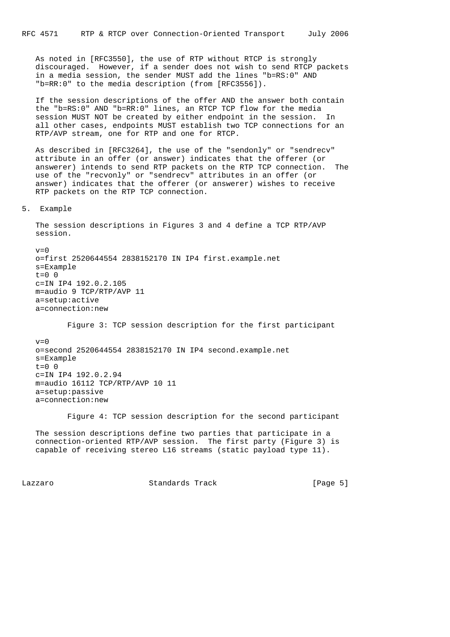As noted in [RFC3550], the use of RTP without RTCP is strongly discouraged. However, if a sender does not wish to send RTCP packets in a media session, the sender MUST add the lines "b=RS:0" AND "b=RR:0" to the media description (from [RFC3556]).

 If the session descriptions of the offer AND the answer both contain the "b=RS:0" AND "b=RR:0" lines, an RTCP TCP flow for the media session MUST NOT be created by either endpoint in the session. In all other cases, endpoints MUST establish two TCP connections for an RTP/AVP stream, one for RTP and one for RTCP.

 As described in [RFC3264], the use of the "sendonly" or "sendrecv" attribute in an offer (or answer) indicates that the offerer (or answerer) intends to send RTP packets on the RTP TCP connection. The use of the "recvonly" or "sendrecv" attributes in an offer (or answer) indicates that the offerer (or answerer) wishes to receive RTP packets on the RTP TCP connection.

5. Example

 The session descriptions in Figures 3 and 4 define a TCP RTP/AVP session.

 $v=0$  o=first 2520644554 2838152170 IN IP4 first.example.net s=Example  $t=0$  0 c=IN IP4 192.0.2.105 m=audio 9 TCP/RTP/AVP 11 a=setup:active a=connection:new

Figure 3: TCP session description for the first participant

 $v=0$  o=second 2520644554 2838152170 IN IP4 second.example.net s=Example  $t=0$  0 c=IN IP4 192.0.2.94 m=audio 16112 TCP/RTP/AVP 10 11 a=setup:passive a=connection:new

Figure 4: TCP session description for the second participant

 The session descriptions define two parties that participate in a connection-oriented RTP/AVP session. The first party (Figure 3) is capable of receiving stereo L16 streams (static payload type 11).

Lazzaro Standards Track [Page 5]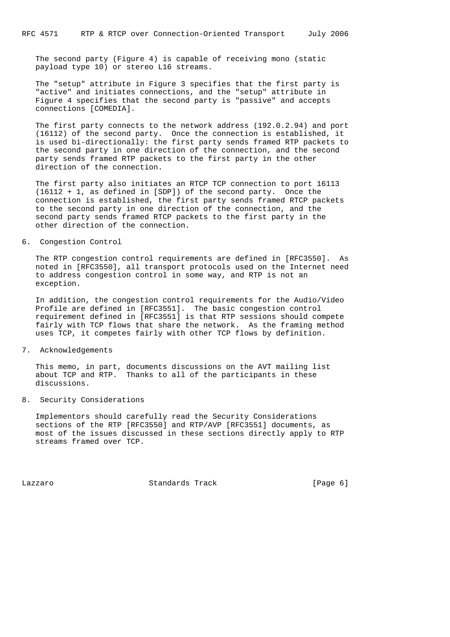The second party (Figure 4) is capable of receiving mono (static payload type 10) or stereo L16 streams.

 The "setup" attribute in Figure 3 specifies that the first party is "active" and initiates connections, and the "setup" attribute in Figure 4 specifies that the second party is "passive" and accepts connections [COMEDIA].

 The first party connects to the network address (192.0.2.94) and port (16112) of the second party. Once the connection is established, it is used bi-directionally: the first party sends framed RTP packets to the second party in one direction of the connection, and the second party sends framed RTP packets to the first party in the other direction of the connection.

 The first party also initiates an RTCP TCP connection to port 16113 (16112 + 1, as defined in [SDP]) of the second party. Once the connection is established, the first party sends framed RTCP packets to the second party in one direction of the connection, and the second party sends framed RTCP packets to the first party in the other direction of the connection.

#### 6. Congestion Control

 The RTP congestion control requirements are defined in [RFC3550]. As noted in [RFC3550], all transport protocols used on the Internet need to address congestion control in some way, and RTP is not an exception.

 In addition, the congestion control requirements for the Audio/Video Profile are defined in [RFC3551]. The basic congestion control requirement defined in [RFC3551] is that RTP sessions should compete fairly with TCP flows that share the network. As the framing method uses TCP, it competes fairly with other TCP flows by definition.

### 7. Acknowledgements

 This memo, in part, documents discussions on the AVT mailing list about TCP and RTP. Thanks to all of the participants in these discussions.

## 8. Security Considerations

 Implementors should carefully read the Security Considerations sections of the RTP [RFC3550] and RTP/AVP [RFC3551] documents, as most of the issues discussed in these sections directly apply to RTP streams framed over TCP.

Lazzaro Standards Track [Page 6]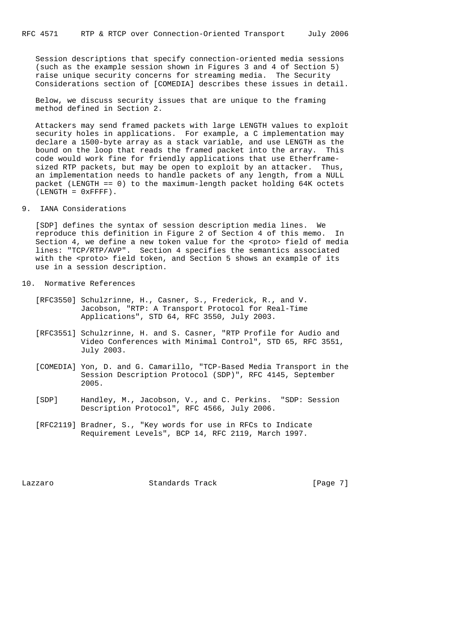Session descriptions that specify connection-oriented media sessions (such as the example session shown in Figures 3 and 4 of Section 5) raise unique security concerns for streaming media. The Security Considerations section of [COMEDIA] describes these issues in detail.

 Below, we discuss security issues that are unique to the framing method defined in Section 2.

 Attackers may send framed packets with large LENGTH values to exploit security holes in applications. For example, a C implementation may declare a 1500-byte array as a stack variable, and use LENGTH as the bound on the loop that reads the framed packet into the array. This code would work fine for friendly applications that use Etherframe sized RTP packets, but may be open to exploit by an attacker. Thus, an implementation needs to handle packets of any length, from a NULL packet (LENGTH == 0) to the maximum-length packet holding 64K octets  $(LENGTH = 0xFFFF)$ .

9. IANA Considerations

 [SDP] defines the syntax of session description media lines. We reproduce this definition in Figure 2 of Section 4 of this memo. In Section 4, we define a new token value for the <proto> field of media lines: "TCP/RTP/AVP". Section 4 specifies the semantics associated with the <proto> field token, and Section 5 shows an example of its use in a session description.

- 10. Normative References
	- [RFC3550] Schulzrinne, H., Casner, S., Frederick, R., and V. Jacobson, "RTP: A Transport Protocol for Real-Time Applications", STD 64, RFC 3550, July 2003.
	- [RFC3551] Schulzrinne, H. and S. Casner, "RTP Profile for Audio and Video Conferences with Minimal Control", STD 65, RFC 3551, July 2003.
	- [COMEDIA] Yon, D. and G. Camarillo, "TCP-Based Media Transport in the Session Description Protocol (SDP)", RFC 4145, September 2005.
	- [SDP] Handley, M., Jacobson, V., and C. Perkins. "SDP: Session Description Protocol", RFC 4566, July 2006.
	- [RFC2119] Bradner, S., "Key words for use in RFCs to Indicate Requirement Levels", BCP 14, RFC 2119, March 1997.

Lazzaro Standards Track [Page 7]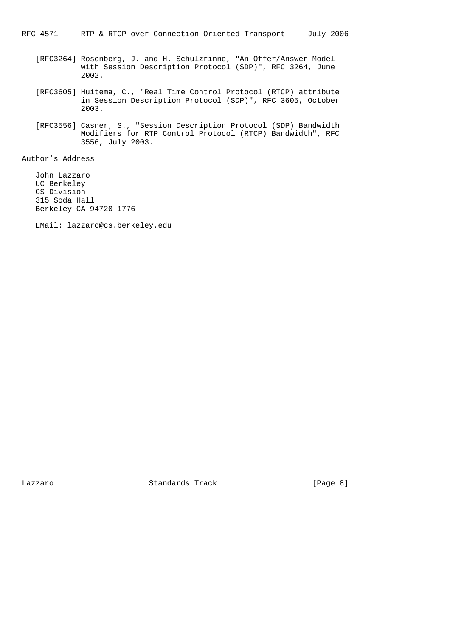- [RFC3264] Rosenberg, J. and H. Schulzrinne, "An Offer/Answer Model with Session Description Protocol (SDP)", RFC 3264, June 2002.
- [RFC3605] Huitema, C., "Real Time Control Protocol (RTCP) attribute in Session Description Protocol (SDP)", RFC 3605, October 2003.
- [RFC3556] Casner, S., "Session Description Protocol (SDP) Bandwidth Modifiers for RTP Control Protocol (RTCP) Bandwidth", RFC 3556, July 2003.

Author's Address

 John Lazzaro UC Berkeley CS Division 315 Soda Hall Berkeley CA 94720-1776

EMail: lazzaro@cs.berkeley.edu

Lazzaro Standards Track [Page 8]